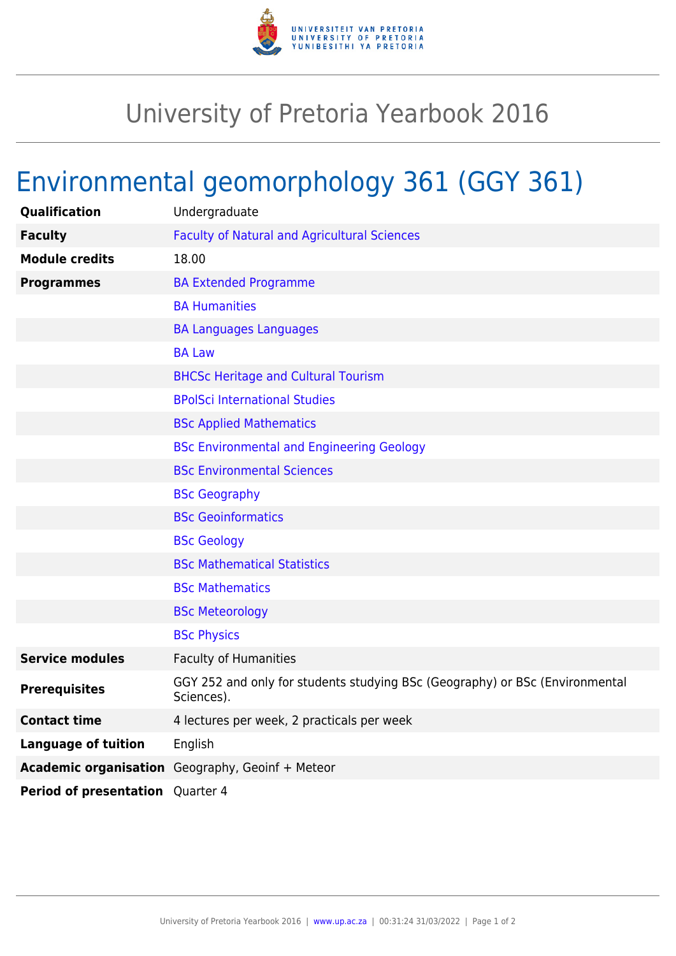

## University of Pretoria Yearbook 2016

## Environmental geomorphology 361 (GGY 361)

| <b>Qualification</b>             | Undergraduate                                                                              |
|----------------------------------|--------------------------------------------------------------------------------------------|
| <b>Faculty</b>                   | <b>Faculty of Natural and Agricultural Sciences</b>                                        |
| <b>Module credits</b>            | 18.00                                                                                      |
| <b>Programmes</b>                | <b>BA Extended Programme</b>                                                               |
|                                  | <b>BA Humanities</b>                                                                       |
|                                  | <b>BA Languages Languages</b>                                                              |
|                                  | <b>BA Law</b>                                                                              |
|                                  | <b>BHCSc Heritage and Cultural Tourism</b>                                                 |
|                                  | <b>BPolSci International Studies</b>                                                       |
|                                  | <b>BSc Applied Mathematics</b>                                                             |
|                                  | <b>BSc Environmental and Engineering Geology</b>                                           |
|                                  | <b>BSc Environmental Sciences</b>                                                          |
|                                  | <b>BSc Geography</b>                                                                       |
|                                  | <b>BSc Geoinformatics</b>                                                                  |
|                                  | <b>BSc Geology</b>                                                                         |
|                                  | <b>BSc Mathematical Statistics</b>                                                         |
|                                  | <b>BSc Mathematics</b>                                                                     |
|                                  | <b>BSc Meteorology</b>                                                                     |
|                                  | <b>BSc Physics</b>                                                                         |
| <b>Service modules</b>           | <b>Faculty of Humanities</b>                                                               |
| <b>Prerequisites</b>             | GGY 252 and only for students studying BSc (Geography) or BSc (Environmental<br>Sciences). |
| <b>Contact time</b>              | 4 lectures per week, 2 practicals per week                                                 |
| <b>Language of tuition</b>       | English                                                                                    |
|                                  | Academic organisation Geography, Geoinf + Meteor                                           |
| Period of presentation Quarter 4 |                                                                                            |